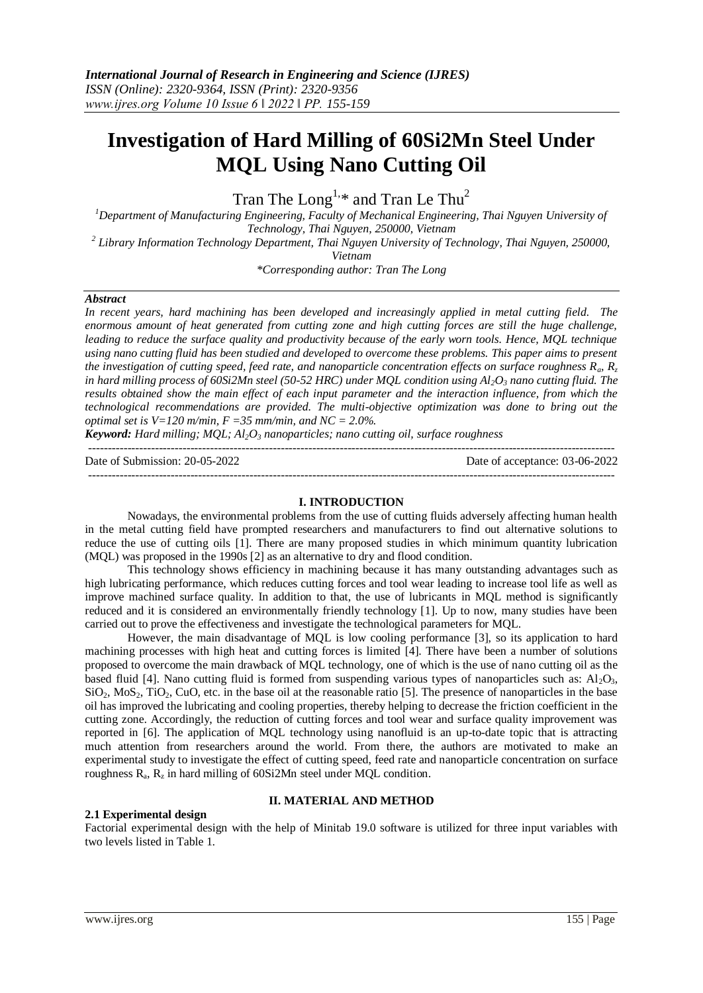# **Investigation of Hard Milling of 60Si2Mn Steel Under MQL Using Nano Cutting Oil**

Tran The Long<sup>1,\*</sup> and Tran Le Thu<sup>2</sup>

*<sup>1</sup>Department of Manufacturing Engineering, Faculty of Mechanical Engineering, Thai Nguyen University of Technology, Thai Nguyen, 250000, Vietnam*

*2 Library Information Technology Department, Thai Nguyen University of Technology, Thai Nguyen, 250000,* 

*Vietnam*

*\*Corresponding author: Tran The Long*

## *Abstract*

In recent years, hard machining has been developed and increasingly applied in metal cutting field. The *enormous amount of heat generated from cutting zone and high cutting forces are still the huge challenge, leading to reduce the surface quality and productivity because of the early worn tools. Hence, MQL technique using nano cutting fluid has been studied and developed to overcome these problems. This paper aims to present the investigation of cutting speed, feed rate, and nanoparticle concentration effects on surface roughness Ra, R<sup>z</sup> in hard milling process of 60Si2Mn steel (50-52 HRC) under MQL condition using Al2O<sup>3</sup> nano cutting fluid. The results obtained show the main effect of each input parameter and the interaction influence, from which the technological recommendations are provided. The multi-objective optimization was done to bring out the optimal set is V=120 m/min, F =35 mm/min, and NC = 2.0%.* 

*Keyword: Hard milling; MQL; Al2O<sup>3</sup> nanoparticles; nano cutting oil, surface roughness* --------------------------------------------------------------------------------------------------------------------------------------

Date of Submission: 20-05-2022 Date of acceptance: 03-06-2022

--------------------------------------------------------------------------------------------------------------------------------------

#### **I. INTRODUCTION**

Nowadays, the environmental problems from the use of cutting fluids adversely affecting human health in the metal cutting field have prompted researchers and manufacturers to find out alternative solutions to reduce the use of cutting oils [1]. There are many proposed studies in which minimum quantity lubrication (MQL) was proposed in the 1990s [2] as an alternative to dry and flood condition.

This technology shows efficiency in machining because it has many outstanding advantages such as high lubricating performance, which reduces cutting forces and tool wear leading to increase tool life as well as improve machined surface quality. In addition to that, the use of lubricants in MQL method is significantly reduced and it is considered an environmentally friendly technology [1]. Up to now, many studies have been carried out to prove the effectiveness and investigate the technological parameters for MQL.

However, the main disadvantage of MQL is low cooling performance [3], so its application to hard machining processes with high heat and cutting forces is limited [4]. There have been a number of solutions proposed to overcome the main drawback of MQL technology, one of which is the use of nano cutting oil as the based fluid [4]. Nano cutting fluid is formed from suspending various types of nanoparticles such as:  $Al_2O_3$ ,  $SiO<sub>2</sub>$ , MoS<sub>2</sub>, TiO<sub>2</sub>, CuO, etc. in the base oil at the reasonable ratio [5]. The presence of nanoparticles in the base oil has improved the lubricating and cooling properties, thereby helping to decrease the friction coefficient in the cutting zone. Accordingly, the reduction of cutting forces and tool wear and surface quality improvement was reported in [6]. The application of MQL technology using nanofluid is an up-to-date topic that is attracting much attention from researchers around the world. From there, the authors are motivated to make an experimental study to investigate the effect of cutting speed, feed rate and nanoparticle concentration on surface roughness  $R_a$ ,  $R_z$  in hard milling of 60Si2Mn steel under MQL condition.

#### **2.1 Experimental design**

### **II. MATERIAL AND METHOD**

Factorial experimental design with the help of Minitab 19.0 software is utilized for three input variables with two levels listed in Table 1.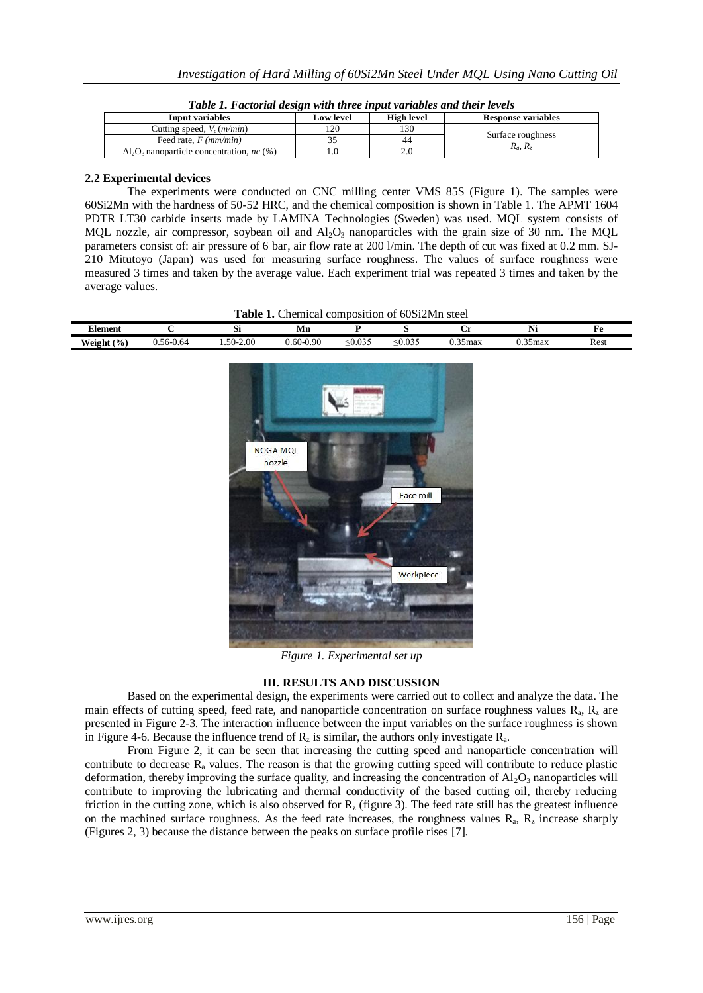| Input variables                                     | <b>Low level</b> | High level | <b>Response variables</b> |  |
|-----------------------------------------------------|------------------|------------|---------------------------|--|
| Cutting speed, $V_c$ ( <i>m/min</i> )               | 120              | 130        |                           |  |
| Feed rate, $F$ ( <i>mm/min</i> )                    |                  | 44         | Surface roughness         |  |
| $Al_2O_3$ nanoparticle concentration, <i>nc</i> (%) |                  |            | $R_a, R_z$                |  |

| Table 1. Factorial design with three input variables and their levels |
|-----------------------------------------------------------------------|
|-----------------------------------------------------------------------|

#### **2.2 Experimental devices**

The experiments were conducted on CNC milling center VMS 85S (Figure 1). The samples were 60Si2Mn with the hardness of 50-52 HRC, and the chemical composition is shown in Table 1. The APMT 1604 PDTR LT30 carbide inserts made by LAMINA Technologies (Sweden) was used. MQL system consists of MOL nozzle, air compressor, soybean oil and  $A_1O_3$  nanoparticles with the grain size of 30 nm. The MOL parameters consist of: air pressure of 6 bar, air flow rate at 200 l/min. The depth of cut was fixed at 0.2 mm. SJ-210 Mitutoyo (Japan) was used for measuring surface roughness. The values of surface roughness were measured 3 times and taken by the average value. Each experiment trial was repeated 3 times and taken by the average values.

|  |  | Table 1. Chemical composition of 60Si2Mn steel |  |  |
|--|--|------------------------------------------------|--|--|
|--|--|------------------------------------------------|--|--|

| ---<br>Element          |                     | ມ                 | <b>IATH</b>                                     |              |                                    | ັ       | $\ddotsc$<br>TAT | . .  |
|-------------------------|---------------------|-------------------|-------------------------------------------------|--------------|------------------------------------|---------|------------------|------|
| Weight $(\%$<br>$- - -$ | $\sim$<br>ა.56-0.64 | $1.50 -$<br>-2.00 | $-0.90$<br>$\overline{\phantom{a}}$<br>$0.60 -$ | $\leq 0.035$ | 0.027<br>$\sim$<br>$_{\sim}$ 0.000 | 0.35max | ).35max          | Rest |



*Figure 1. Experimental set up*

# **III. RESULTS AND DISCUSSION**

Based on the experimental design, the experiments were carried out to collect and analyze the data. The main effects of cutting speed, feed rate, and nanoparticle concentration on surface roughness values  $R_a$ ,  $R_z$  are presented in Figure 2-3. The interaction influence between the input variables on the surface roughness is shown in Figure 4-6. Because the influence trend of  $R_z$  is similar, the authors only investigate  $R_a$ .

From Figure 2, it can be seen that increasing the cutting speed and nanoparticle concentration will contribute to decrease  $R_a$  values. The reason is that the growing cutting speed will contribute to reduce plastic deformation, thereby improving the surface quality, and increasing the concentration of  $A_1O_3$  nanoparticles will contribute to improving the lubricating and thermal conductivity of the based cutting oil, thereby reducing friction in the cutting zone, which is also observed for  $R_z$  (figure 3). The feed rate still has the greatest influence on the machined surface roughness. As the feed rate increases, the roughness values  $R_a$ ,  $R_z$  increase sharply (Figures 2, 3) because the distance between the peaks on surface profile rises [7].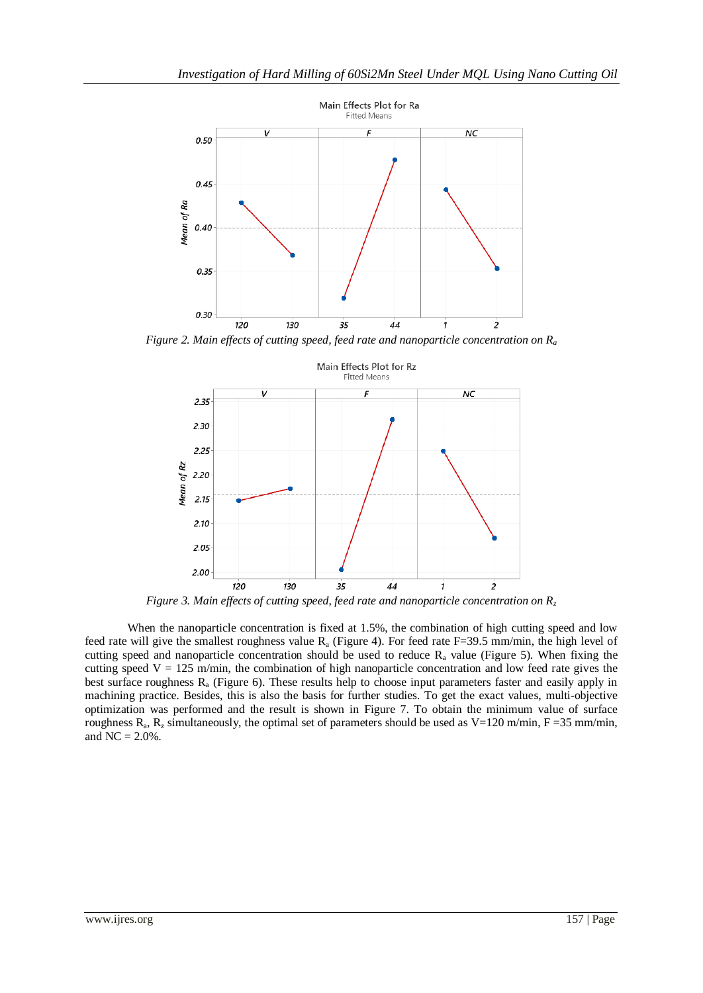

*Figure 2. Main effects of cutting speed, feed rate and nanoparticle concentration on R<sup>a</sup>*



*Figure 3. Main effects of cutting speed, feed rate and nanoparticle concentration on R<sup>z</sup>*

When the nanoparticle concentration is fixed at 1.5%, the combination of high cutting speed and low feed rate will give the smallest roughness value  $R_a$  (Figure 4). For feed rate F=39.5 mm/min, the high level of cutting speed and nanoparticle concentration should be used to reduce  $R_a$  value (Figure 5). When fixing the cutting speed  $V = 125$  m/min, the combination of high nanoparticle concentration and low feed rate gives the best surface roughness R<sup>a</sup> (Figure 6). These results help to choose input parameters faster and easily apply in machining practice. Besides, this is also the basis for further studies. To get the exact values, multi-objective optimization was performed and the result is shown in Figure 7. To obtain the minimum value of surface roughness  $R_a$ ,  $R_z$  simultaneously, the optimal set of parameters should be used as  $V=120$  m/min,  $F=35$  mm/min, and  $NC = 2.0\%$ .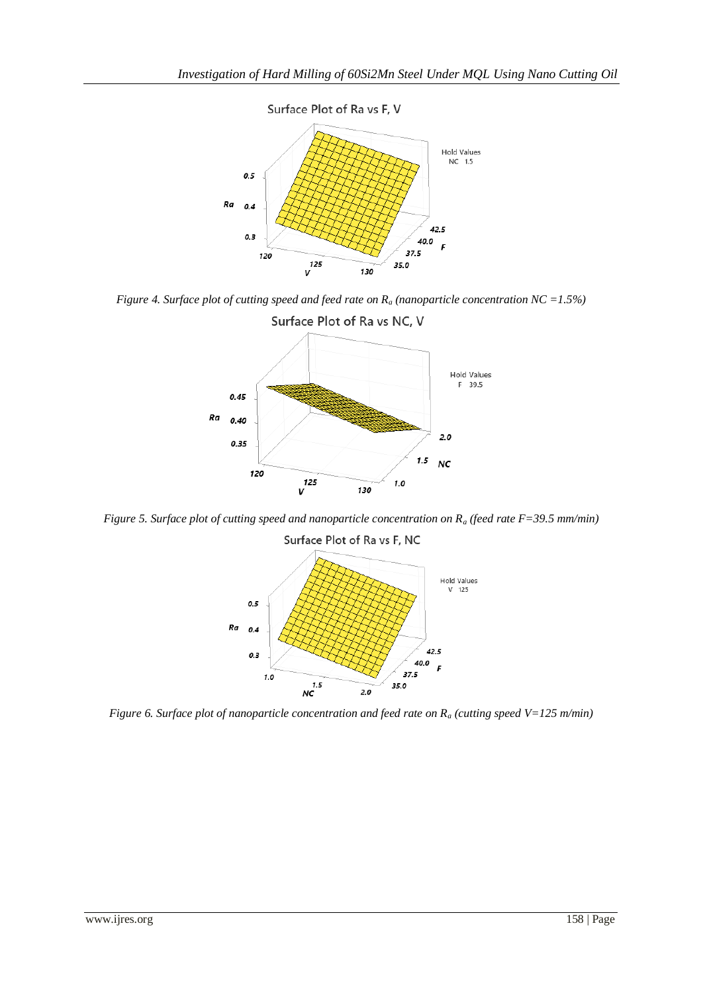

*Figure 4. Surface plot of cutting speed and feed rate on R<sup>a</sup> (nanoparticle concentration NC =1.5%)*



*Figure 5. Surface plot of cutting speed and nanoparticle concentration on R<sup>a</sup> (feed rate F=39.5 mm/min)*

Surface Plot of Ra vs F, NC



*Figure 6. Surface plot of nanoparticle concentration and feed rate on R<sup>a</sup> (cutting speed V=125 m/min)*